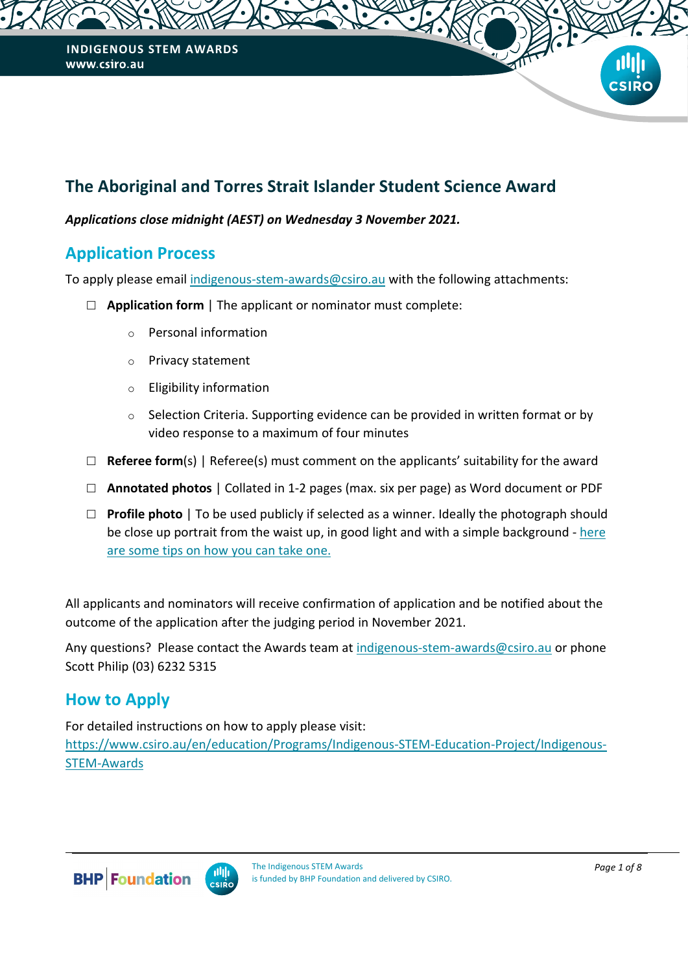# **The Aboriginal and Torres Strait Islander Student Science Award**

#### *Applications close midnight (AEST) on Wednesday 3 November 2021.*

### **Application Process**

To apply please email [indigenous-stem-awards@csiro.au](mailto:indigenous-stem-awards@csiro.au) with the following attachments:

- **Application form** | The applicant or nominator must complete:
	- o Personal information
	- o Privacy statement
	- o Eligibility information
	- o Selection Criteria. Supporting evidence can be provided in written format or by video response to a maximum of four minutes
- $\Box$  **Referee form**(s) | Referee(s) must comment on the applicants' suitability for the award
- **Annotated photos** | Collated in 1-2 pages (max. six per page) as Word document or PDF
- **Profile photo** | To be used publicly if selected as a winner. Ideally the photograph should be close up portrait from the waist up, in good light and with a simple background - [here](https://www.linkedin.com/pulse/tips-do-it-yourself-headshot-you-can-even-use-your-iphone-de-witte)  [are some tips on how you can take one.](https://www.linkedin.com/pulse/tips-do-it-yourself-headshot-you-can-even-use-your-iphone-de-witte)

All applicants and nominators will receive confirmation of application and be notified about the outcome of the application after the judging period in November 2021.

Any questions? Please contact the Awards team at [indigenous-stem-awards@csiro.au](mailto:indigenous-stem-awards@csiro.au?subject=Indigenous%20STEM%20Awards%20application) or phone Scott Philip (03) 6232 5315

## **How to Apply**

For detailed instructions on how to apply please visit: https://www.csiro.au/en/education/Programs/Indigenous-STEM-Education-Project/Indigenous-STEM-Awards

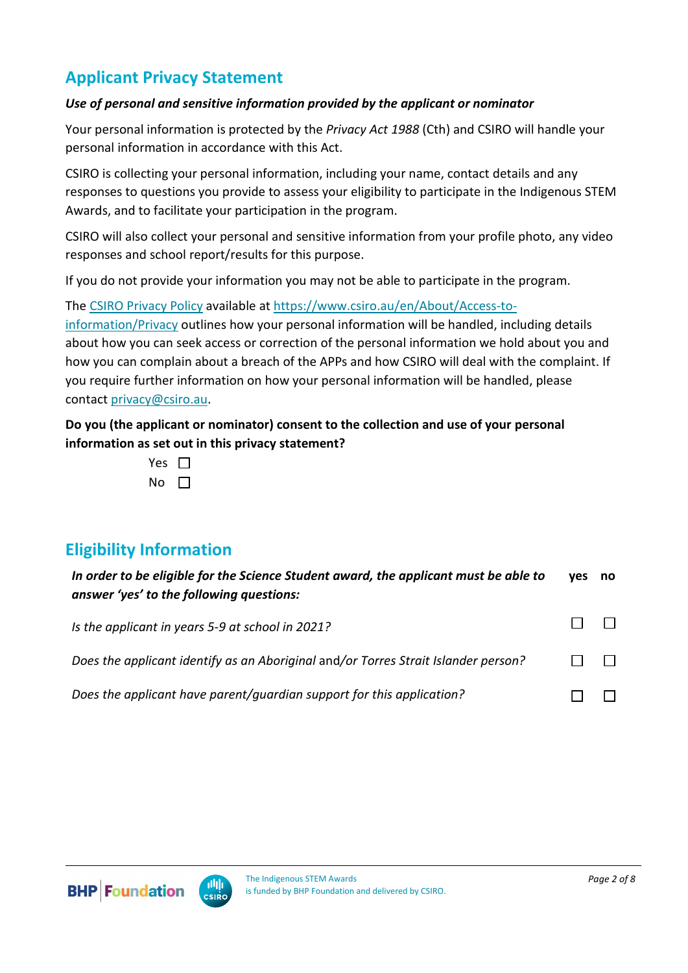# **Applicant Privacy Statement**

#### *Use of personal and sensitive information provided by the applicant or nominator*

Your personal information is protected by the *Privacy Act 1988* (Cth) and CSIRO will handle your personal information in accordance with this Act. 

CSIRO is collecting your personal information, including your name, contact details and any responses to questions you provide to assess your eligibility to participate in the Indigenous STEM Awards, and to facilitate your participation in the program.

CSIRO will also collect your personal and sensitive information from your profile photo, any video responses and school report/results for this purpose.

If you do not provide your information you may not be able to participate in the program.

The [CSIRO Privacy Policy](https://www.csiro.au/en/About/Access-to-information/Privacy) available at [https://www.csiro.au/en/About/Access-to](https://www.csiro.au/en/About/Access-to-information/Privacy)[information/Privacy](https://www.csiro.au/en/About/Access-to-information/Privacy) outlines how your personal information will be handled, including details about how you can seek access or correction of the personal information we hold about you and how you can complain about a breach of the APPs and how CSIRO will deal with the complaint. If you require further information on how your personal information will be handled, please contact [privacy@csiro.au.](mailto:privacy@csiro.au)

**Do you (the applicant or nominator) consent to the collection and use of your personal information as set out in this privacy statement?** 

| Yes |  |
|-----|--|
| N٥  |  |

## **Eligibility Information**

| In order to be eligible for the Science Student award, the applicant must be able to<br>answer 'yes' to the following questions: | ves | no |
|----------------------------------------------------------------------------------------------------------------------------------|-----|----|
| Is the applicant in years 5-9 at school in 2021?                                                                                 |     |    |
| Does the applicant identify as an Aboriginal and/or Torres Strait Islander person?                                               |     |    |
| Does the applicant have parent/quardian support for this application?                                                            |     |    |

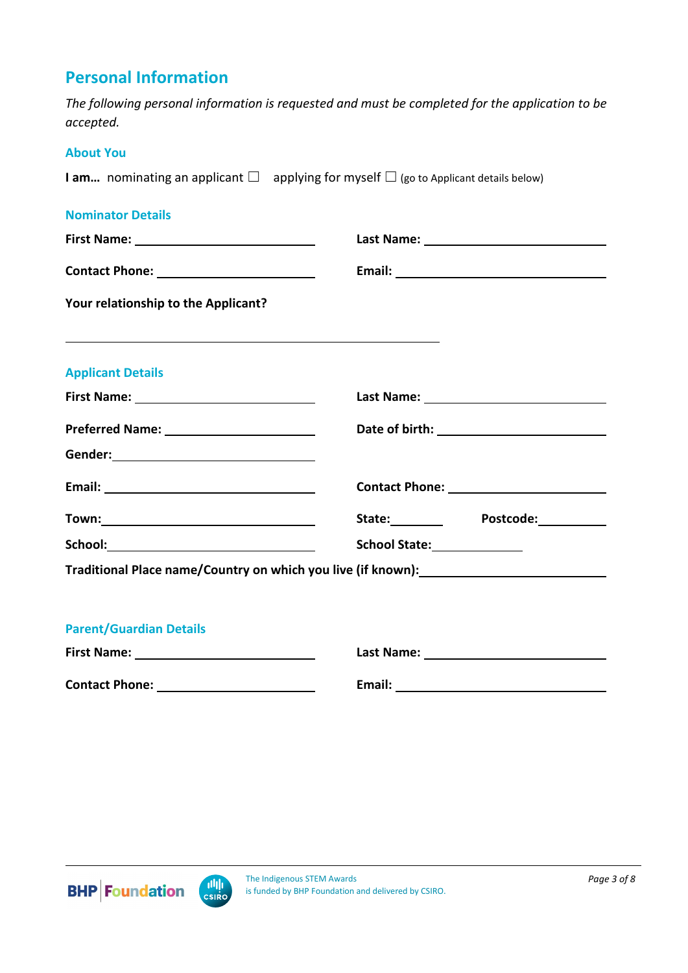## **Personal Information**

*The following personal information is requested and must be completed for the application to be accepted.* 

#### **About You**

**I am...** nominating an applicant □ applying for myself □ (go to Applicant details below)

#### **Nominator Details**

| Your relationship to the Applicant?                                                                                                                                                                                           |                                       |  |
|-------------------------------------------------------------------------------------------------------------------------------------------------------------------------------------------------------------------------------|---------------------------------------|--|
| <b>Applicant Details</b>                                                                                                                                                                                                      |                                       |  |
|                                                                                                                                                                                                                               |                                       |  |
|                                                                                                                                                                                                                               |                                       |  |
|                                                                                                                                                                                                                               |                                       |  |
|                                                                                                                                                                                                                               |                                       |  |
| Town: New York Product of the Contract of the Contract of the Contract of the Contract of the Contract of the Contract of the Contract of the Contract of the Contract of the Contract of the Contract of the Contract of the | State: Postcode:                      |  |
|                                                                                                                                                                                                                               | School State: <u>www.chargereness</u> |  |
| Traditional Place name/Country on which you live (if known): ___________________                                                                                                                                              |                                       |  |
|                                                                                                                                                                                                                               |                                       |  |
| <b>Parent/Guardian Details</b>                                                                                                                                                                                                |                                       |  |
| First Name: 1990 1991 1992 1994                                                                                                                                                                                               |                                       |  |
|                                                                                                                                                                                                                               |                                       |  |



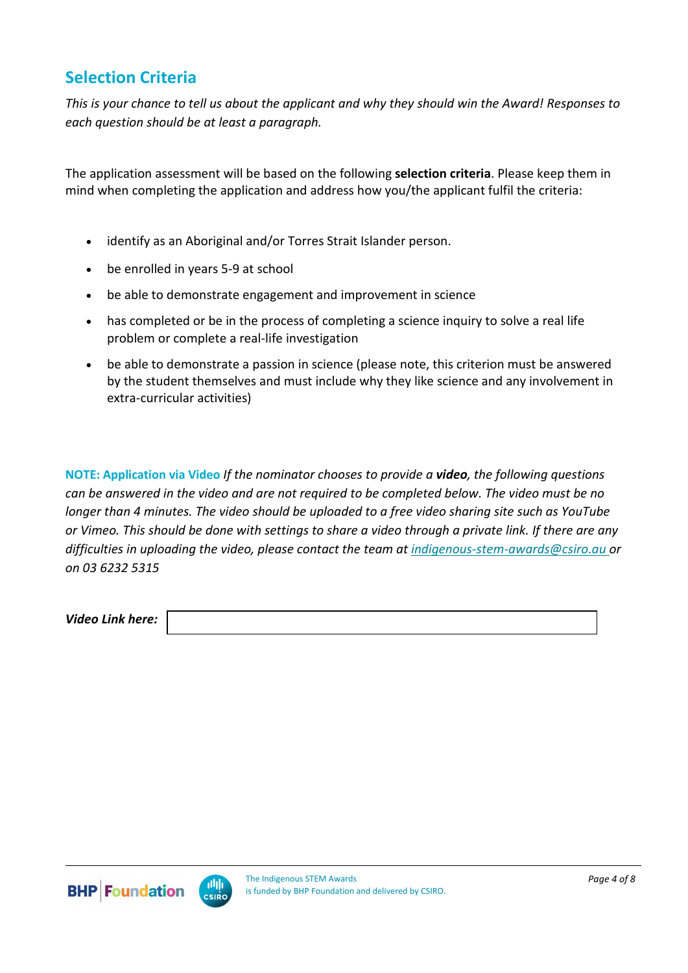## **Selection Criteria**

*This is your chance to tell us about the applicant and why they should win the Award! Responses to each question should be at least a paragraph.* 

The application assessment will be based on the following **selection criteria**. Please keep them in mind when completing the application and address how you/the applicant fulfil the criteria:

- identify as an Aboriginal and/or Torres Strait Islander person.
- be enrolled in years 5-9 at school
- be able to demonstrate engagement and improvement in science
- has completed or be in the process of completing a science inquiry to solve a real life problem or complete a real-life investigation
- be able to demonstrate a passion in science (please note, this criterion must be answered by the student themselves and must include why they like science and any involvement in extra-curricular activities)

**NOTE: Application via Video** *If the nominator chooses to provide a video, the following questions can be answered in the video and are not required to be completed below. The video must be no longer than 4 minutes. The video should be uploaded to a free video sharing site such as YouTube or Vimeo. This should be done with settings to share a video through a private link. If there are any difficulties in uploading the video, please contact the team at [indigenous-stem-awards@csiro.au](mailto:indigenous-stem-awards@csiro.au) or on 03 6232 5315*

*Video Link here:* 

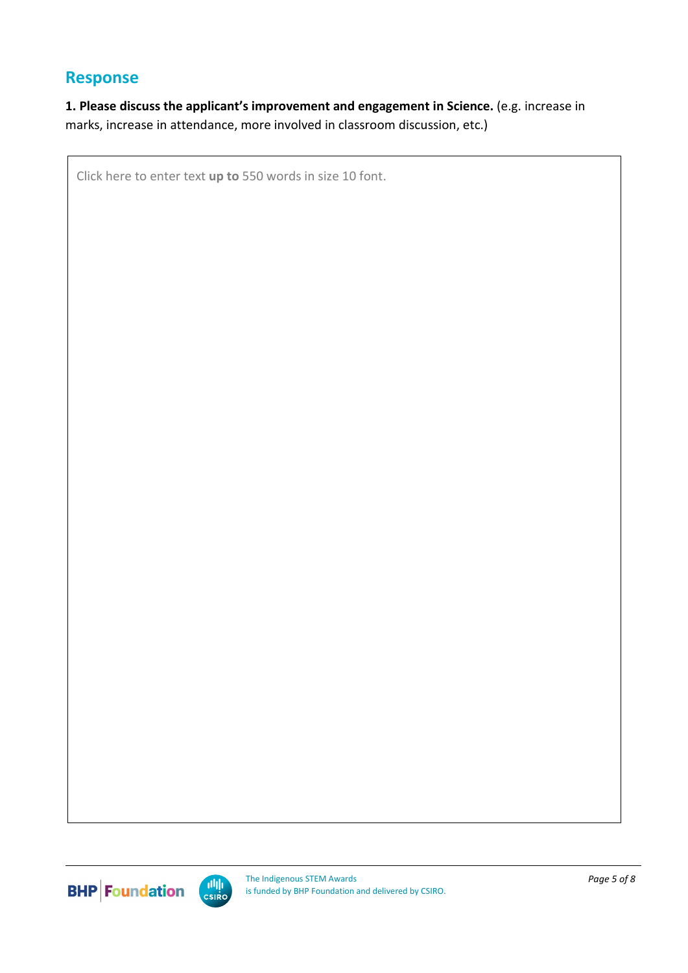### **Response**

**1. Please discuss the applicant's improvement and engagement in Science.** (e.g. increase in marks, increase in attendance, more involved in classroom discussion, etc.)

Click here to enter text **up to** 550 words in size 10 font.

**BHP** Foundation

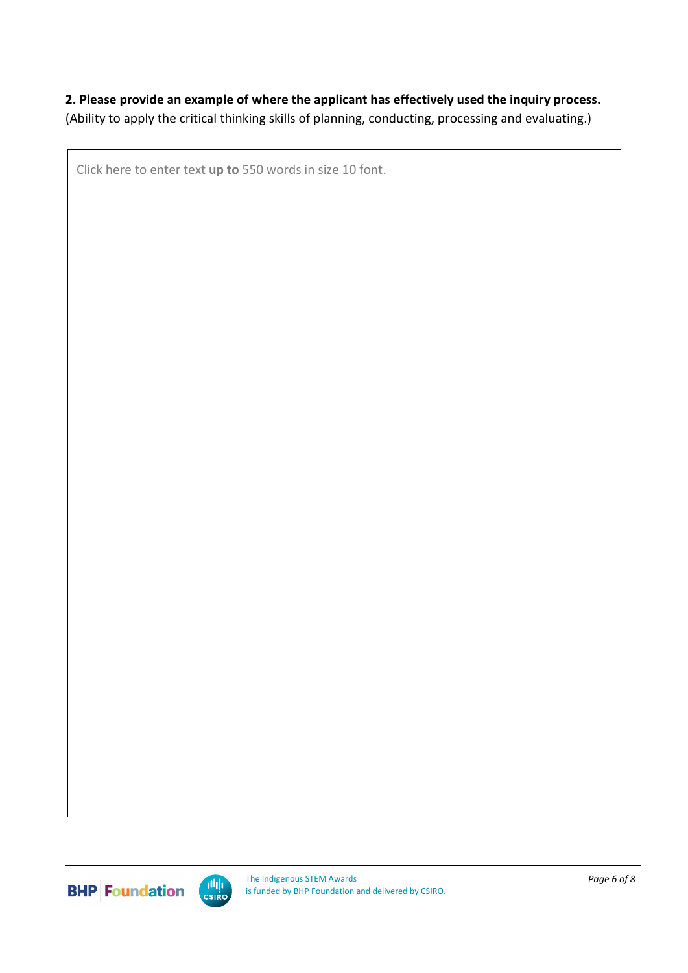### **2. Please provide an example of where the applicant has effectively used the inquiry process.**

(Ability to apply the critical thinking skills of planning, conducting, processing and evaluating.)

Click here to enter text **up to** 550 words in size 10 font.



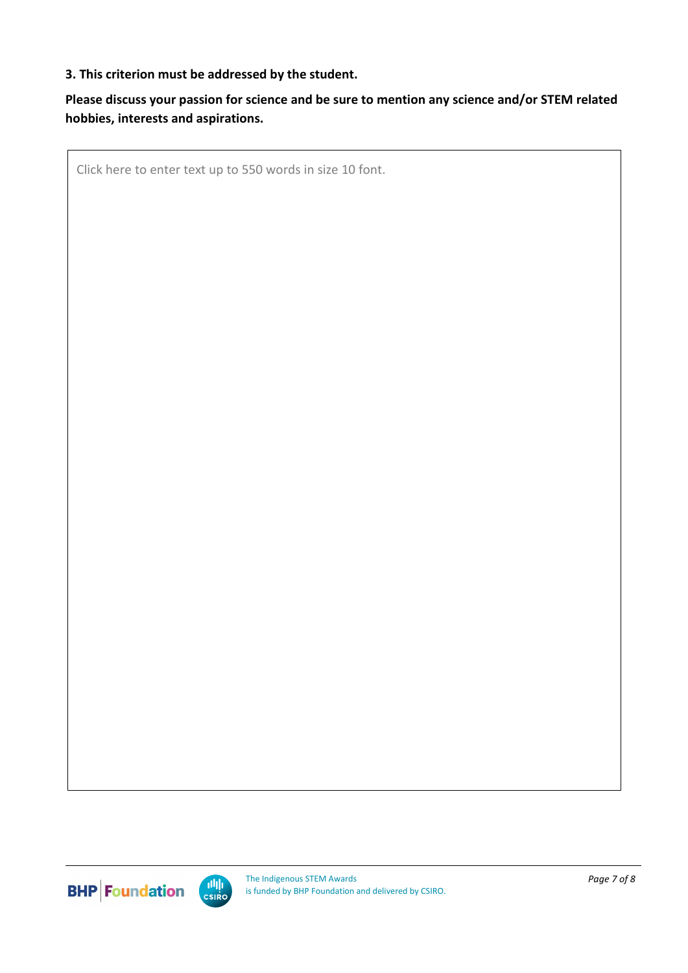#### **3. This criterion must be addressed by the student.**

### **Please discuss your passion for science and be sure to mention any science and/or STEM related hobbies, interests and aspirations.**

Click here to enter text up to 550 words in size 10 font.